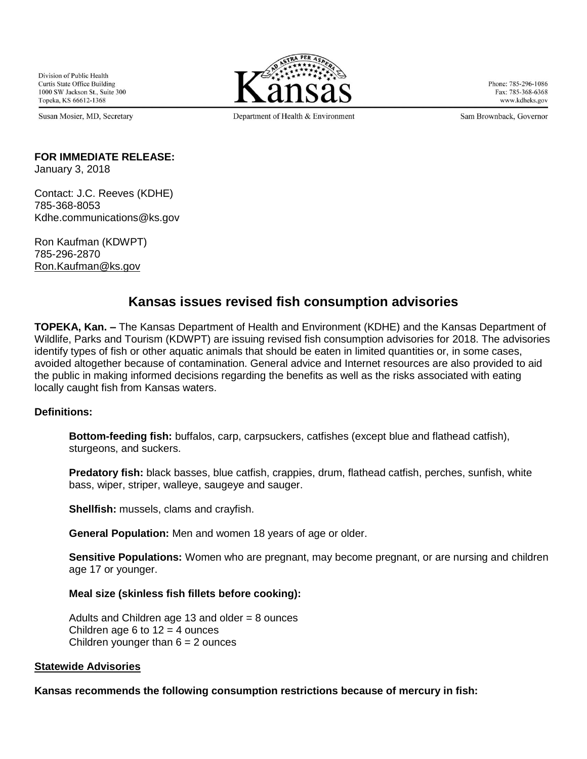Division of Public Health **Curtis State Office Building** 1000 SW Jackson St., Suite 300 Topeka, KS 66612-1368

Susan Mosier, MD, Secretary



Phone: 785-296-1086 Fax: 785-368-6368 www.kdheks.gov

Department of Health & Environment

Sam Brownback, Governor

# **FOR IMMEDIATE RELEASE:**

January 3, 2018

Contact: J.C. Reeves (KDHE) 785-368-8053 Kdhe.communications@ks.gov

Ron Kaufman (KDWPT) 785-296-2870 [Ron.Kaufman@ks.g](mailto:Ron.Kaufman@ks.)ov

# **Kansas issues revised fish consumption advisories**

**TOPEKA, Kan. –** The Kansas Department of Health and Environment (KDHE) and the Kansas Department of Wildlife, Parks and Tourism (KDWPT) are issuing revised fish consumption advisories for 2018. The advisories identify types of fish or other aquatic animals that should be eaten in limited quantities or, in some cases, avoided altogether because of contamination. General advice and Internet resources are also provided to aid the public in making informed decisions regarding the benefits as well as the risks associated with eating locally caught fish from Kansas waters.

# **Definitions:**

**Bottom-feeding fish:** buffalos, carp, carpsuckers, catfishes (except blue and flathead catfish), sturgeons, and suckers.

**Predatory fish:** black basses, blue catfish, crappies, drum, flathead catfish, perches, sunfish, white bass, wiper, striper, walleye, saugeye and sauger.

**Shellfish:** mussels, clams and crayfish.

**General Population:** Men and women 18 years of age or older.

**Sensitive Populations:** Women who are pregnant, may become pregnant, or are nursing and children age 17 or younger.

# **Meal size (skinless fish fillets before cooking):**

Adults and Children age 13 and older  $= 8$  ounces Children age 6 to  $12 = 4$  ounces Children younger than  $6 = 2$  ounces

# **Statewide Advisories**

**Kansas recommends the following consumption restrictions because of mercury in fish:**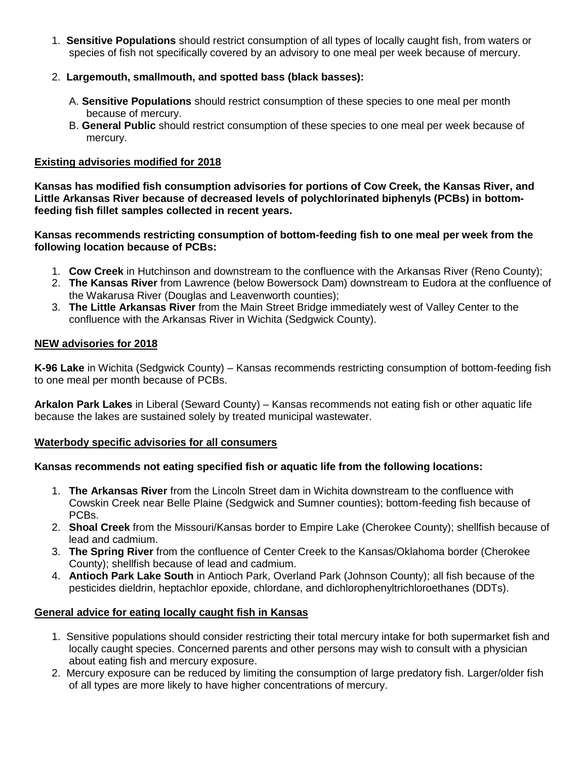- 1. **Sensitive Populations** should restrict consumption of all types of locally caught fish, from waters or species of fish not specifically covered by an advisory to one meal per week because of mercury.
- 2. **Largemouth, smallmouth, and spotted bass (black basses):**
	- A. **Sensitive Populations** should restrict consumption of these species to one meal per month because of mercury.
	- B. **General Public** should restrict consumption of these species to one meal per week because of mercury.

# **Existing advisories modified for 2018**

**Kansas has modified fish consumption advisories for portions of Cow Creek, the Kansas River, and Little Arkansas River because of decreased levels of polychlorinated biphenyls (PCBs) in bottomfeeding fish fillet samples collected in recent years.**

**Kansas recommends restricting consumption of bottom-feeding fish to one meal per week from the following location because of PCBs:** 

- 1. **Cow Creek** in Hutchinson and downstream to the confluence with the Arkansas River (Reno County);
- 2. **The Kansas River** from Lawrence (below Bowersock Dam) downstream to Eudora at the confluence of the Wakarusa River (Douglas and Leavenworth counties);
- 3. **The Little Arkansas River** from the Main Street Bridge immediately west of Valley Center to the confluence with the Arkansas River in Wichita (Sedgwick County).

# **NEW advisories for 2018**

**K-96 Lake** in Wichita (Sedgwick County) – Kansas recommends restricting consumption of bottom-feeding fish to one meal per month because of PCBs.

**Arkalon Park Lakes** in Liberal (Seward County) – Kansas recommends not eating fish or other aquatic life because the lakes are sustained solely by treated municipal wastewater.

# **Waterbody specific advisories for all consumers**

# **Kansas recommends not eating specified fish or aquatic life from the following locations:**

- 1. **The Arkansas River** from the Lincoln Street dam in Wichita downstream to the confluence with Cowskin Creek near Belle Plaine (Sedgwick and Sumner counties); bottom-feeding fish because of PCBs.
- 2. **Shoal Creek** from the Missouri/Kansas border to Empire Lake (Cherokee County); shellfish because of lead and cadmium.
- 3. **The Spring River** from the confluence of Center Creek to the Kansas/Oklahoma border (Cherokee County); shellfish because of lead and cadmium.
- 4. **Antioch Park Lake South** in Antioch Park, Overland Park (Johnson County); all fish because of the pesticides dieldrin, heptachlor epoxide, chlordane, and dichlorophenyltrichloroethanes (DDTs).

# **General advice for eating locally caught fish in Kansas**

- 1. Sensitive populations should consider restricting their total mercury intake for both supermarket fish and locally caught species. Concerned parents and other persons may wish to consult with a physician about eating fish and mercury exposure.
- 2. Mercury exposure can be reduced by limiting the consumption of large predatory fish. Larger/older fish of all types are more likely to have higher concentrations of mercury.